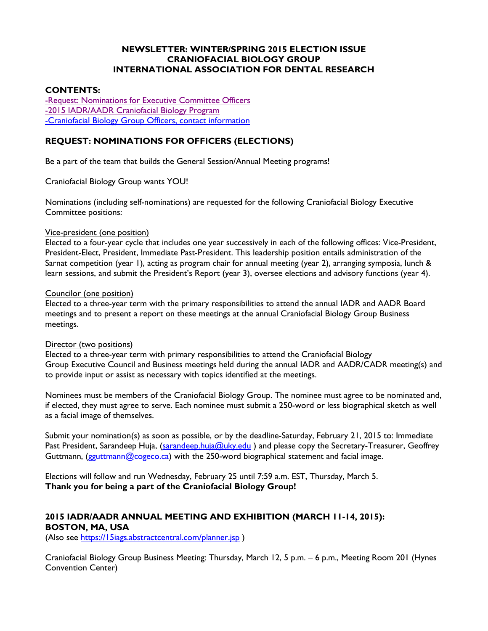### **NEWSLETTER: WINTER/SPRING 2015 ELECTION ISSUE CRANIOFACIAL BIOLOGY GROUP INTERNATIONAL ASSOCIATION FOR DENTAL RESEARCH**

## **CONTENTS:**

[-Request: Nominations for Executive Committee Officers](#page-0-0) -2015 [IADR/AADR Craniofacial Biology Program](#page-0-1) [-Craniofacial Biology Group Officers, contact information](#page-3-0)

# <span id="page-0-0"></span>**REQUEST: NOMINATIONS FOR OFFICERS (ELECTIONS)**

Be a part of the team that builds the General Session/Annual Meeting programs!

Craniofacial Biology Group wants YOU!

Nominations (including self-nominations) are requested for the following Craniofacial Biology Executive Committee positions:

#### Vice-president (one position)

Elected to a four-year cycle that includes one year successively in each of the following offices: Vice-President, President-Elect, President, Immediate Past-President. This leadership position entails administration of the Sarnat competition (year 1), acting as program chair for annual meeting (year 2), arranging symposia, lunch & learn sessions, and submit the President's Report (year 3), oversee elections and advisory functions (year 4).

#### Councilor (one position)

Elected to a three-year term with the primary responsibilities to attend the annual IADR and AADR Board meetings and to present a report on these meetings at the annual Craniofacial Biology Group Business meetings.

#### Director (two positions)

Elected to a three-year term with primary responsibilities to attend the Craniofacial Biology Group Executive Council and Business meetings held during the annual IADR and AADR/CADR meeting(s) and to provide input or assist as necessary with topics identified at the meetings.

Nominees must be members of the Craniofacial Biology Group. The nominee must agree to be nominated and, if elected, they must agree to serve. Each nominee must submit a 250-word or less biographical sketch as well as a facial image of themselves.

Submit your nomination(s) as soon as possible, or by the deadline-Saturday, February 21, 2015 to: Immediate Past President, Sarandeep Huja, [\(sarandeep.huja@uky.edu](mailto:sarandeep.huja@uky.edu)) and please copy the Secretary-Treasurer, Geoffrey Guttmann, [\(gguttmann@cogeco.ca\)](mailto:gguttmann@cogeco.ca) with the 250-word biographical statement and facial image.

Elections will follow and run Wednesday, February 25 until 7:59 a.m. EST, Thursday, March 5. **Thank you for being a part of the Craniofacial Biology Group!**

## <span id="page-0-1"></span>**2015 IADR/AADR ANNUAL MEETING AND EXHIBITION (MARCH 11-14, 2015): BOSTON, MA, USA**

(Also see<https://15iags.abstractcentral.com/planner.jsp>)

Craniofacial Biology Group Business Meeting: Thursday, March 12, 5 p.m. – 6 p.m., Meeting Room 201 (Hynes Convention Center)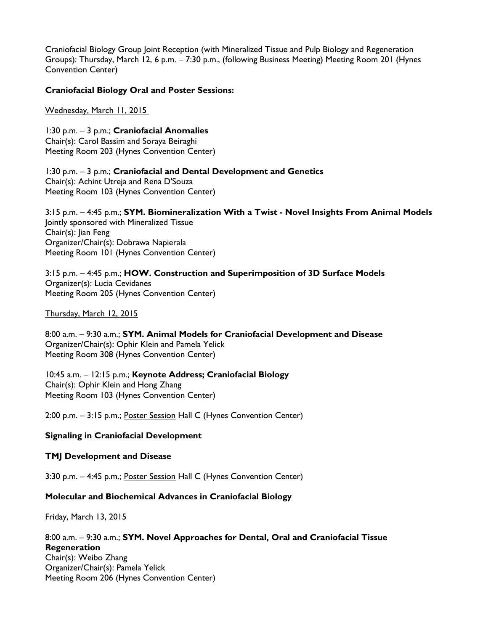Craniofacial Biology Group Joint Reception (with Mineralized Tissue and Pulp Biology and Regeneration Groups): Thursday, March 12, 6 p.m. – 7:30 p.m., (following Business Meeting) Meeting Room 201 (Hynes Convention Center)

### **Craniofacial Biology Oral and Poster Sessions:**

Wednesday, March 11, 2015

1:30 p.m. – 3 p.m.; **Craniofacial Anomalies**  Chair(s): Carol Bassim and Soraya Beiraghi Meeting Room 203 (Hynes Convention Center)

1:30 p.m. – 3 p.m.; **Craniofacial and Dental Development and Genetics** Chair(s): Achint Utreja and Rena D'Souza Meeting Room 103 (Hynes Convention Center)

3:15 p.m. – 4:45 p.m.; **SYM. Biomineralization With a Twist - Novel Insights From Animal Models** Jointly sponsored with Mineralized Tissue Chair(s): Jian Feng Organizer/Chair(s): Dobrawa Napierala Meeting Room 101 (Hynes Convention Center)

3:15 p.m. – 4:45 p.m.; **HOW. Construction and Superimposition of 3D Surface Models** Organizer(s): Lucia Cevidanes Meeting Room 205 (Hynes Convention Center)

Thursday, March 12, 2015

8:00 a.m. – 9:30 a.m.; **SYM. Animal Models for Craniofacial Development and Disease** Organizer/Chair(s): Ophir Klein and Pamela Yelick Meeting Room 308 (Hynes Convention Center)

10:45 a.m. – 12:15 p.m.; **Keynote Address; Craniofacial Biology** Chair(s): Ophir Klein and Hong Zhang Meeting Room 103 (Hynes Convention Center)

2:00 p.m. - 3:15 p.m.; Poster Session Hall C (Hynes Convention Center)

## **Signaling in Craniofacial Development**

#### **TMJ Development and Disease**

3:30 p.m. – 4:45 p.m.; Poster Session Hall C (Hynes Convention Center)

#### **Molecular and Biochemical Advances in Craniofacial Biology**

Friday, March 13, 2015

8:00 a.m. – 9:30 a.m.; **SYM. Novel Approaches for Dental, Oral and Craniofacial Tissue Regeneration** Chair(s): Weibo Zhang Organizer/Chair(s): Pamela Yelick Meeting Room 206 (Hynes Convention Center)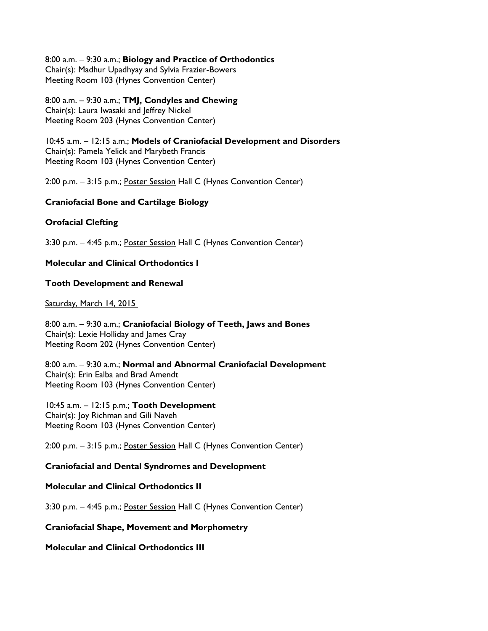8:00 a.m. – 9:30 a.m.; **Biology and Practice of Orthodontics** Chair(s): Madhur Upadhyay and Sylvia Frazier-Bowers Meeting Room 103 (Hynes Convention Center)

8:00 a.m. – 9:30 a.m.; **TMJ, Condyles and Chewing** Chair(s): Laura Iwasaki and Jeffrey Nickel Meeting Room 203 (Hynes Convention Center)

10:45 a.m. – 12:15 a.m.; **Models of Craniofacial Development and Disorders** Chair(s): Pamela Yelick and Marybeth Francis Meeting Room 103 (Hynes Convention Center)

2:00 p.m. - 3:15 p.m.; Poster Session Hall C (Hynes Convention Center)

### **Craniofacial Bone and Cartilage Biology**

### **Orofacial Clefting**

3:30 p.m. – 4:45 p.m.; Poster Session Hall C (Hynes Convention Center)

## **Molecular and Clinical Orthodontics I**

#### **Tooth Development and Renewal**

Saturday, March 14, 2015

8:00 a.m. – 9:30 a.m.; **Craniofacial Biology of Teeth, Jaws and Bones** Chair(s): Lexie Holliday and James Cray Meeting Room 202 (Hynes Convention Center)

8:00 a.m. – 9:30 a.m.; **Normal and Abnormal Craniofacial Development** Chair(s): Erin Ealba and Brad Amendt Meeting Room 103 (Hynes Convention Center)

10:45 a.m. – 12:15 p.m.; **Tooth Development** Chair(s): Joy Richman and Gili Naveh Meeting Room 103 (Hynes Convention Center)

2:00 p.m. - 3:15 p.m.; Poster Session Hall C (Hynes Convention Center)

## **Craniofacial and Dental Syndromes and Development**

#### **Molecular and Clinical Orthodontics II**

3:30 p.m. – 4:45 p.m.; Poster Session Hall C (Hynes Convention Center)

### **Craniofacial Shape, Movement and Morphometry**

**Molecular and Clinical Orthodontics III**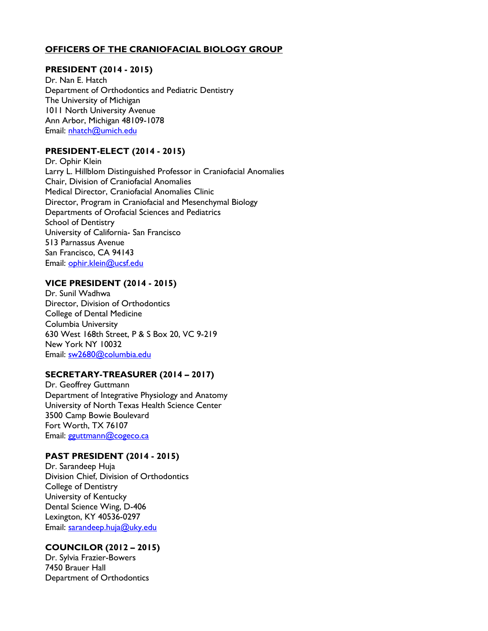# <span id="page-3-0"></span>**OFFICERS OF THE CRANIOFACIAL BIOLOGY GROUP**

## **PRESIDENT (2014 - 2015)**

Dr. Nan E. Hatch Department of Orthodontics and Pediatric Dentistry The University of Michigan 1011 North University Avenue Ann Arbor, Michigan 48109-1078 Email: [nhatch@umich.edu](mailto:nhatch@umich.edu)

## **PRESIDENT-ELECT (2014 - 2015)**

Dr. Ophir Klein Larry L. Hillblom Distinguished Professor in Craniofacial Anomalies Chair, Division of Craniofacial Anomalies Medical Director, Craniofacial Anomalies Clinic Director, Program in Craniofacial and Mesenchymal Biology Departments of Orofacial Sciences and Pediatrics School of Dentistry University of California- San Francisco 513 Parnassus Avenue San Francisco, CA 94143 Email: ophir.klein@ucsf.edu

### **VICE PRESIDENT (2014 - 2015)**

Dr. Sunil Wadhwa Director, Division of Orthodontics College of Dental Medicine Columbia University 630 West 168th Street, P & S Box 20, VC 9-219 New York NY 10032 Email: [sw2680@columbia.edu](mailto:sw2680@columbia.edu) 

## **SECRETARY-TREASURER (2014 – 2017)**

Dr. Geoffrey Guttmann Department of Integrative Physiology and Anatomy University of North Texas Health Science Center 3500 Camp Bowie Boulevard Fort Worth, TX 76107 Email: [gguttmann@cogeco.ca](mailto:gguttmann@cogeco.ca)

#### **PAST PRESIDENT (2014 - 2015)**

Dr. Sarandeep Huja Division Chief, Division of Orthodontics College of Dentistry University of Kentucky Dental Science Wing, D-406 Lexington, KY 40536-0297 Email: [sarandeep.huja@uky.edu](mailto:sarandeep.huja@uky.edu)

## **COUNCILOR (2012 – 2015)**

Dr. Sylvia Frazier-Bowers 7450 Brauer Hall Department of Orthodontics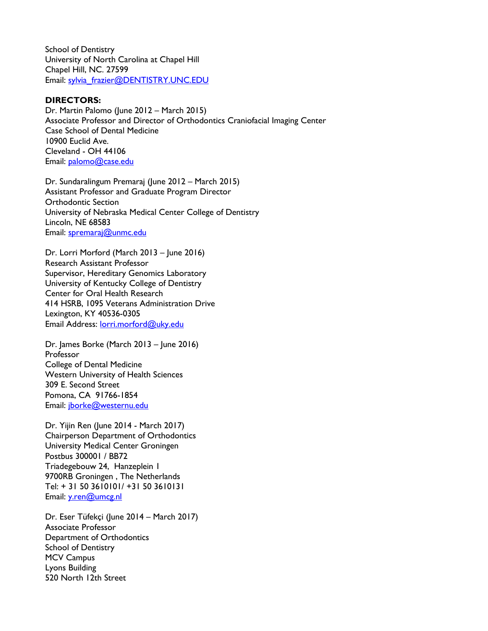School of Dentistry University of North Carolina at Chapel Hill Chapel Hill, NC. 27599 Email: [sylvia\\_frazier@DENTISTRY.UNC.EDU](mailto:sylvia_frazier@DENTISTRY.UNC.EDU)

### **DIRECTORS:**

Dr. Martin Palomo (June 2012 – March 2015) Associate Professor and Director of Orthodontics Craniofacial Imaging Center Case School of Dental Medicine 10900 Euclid Ave. Cleveland - OH 44106 Email: [palomo@case.edu](mailto:palomo@case.edu)

Dr. Sundaralingum Premaraj (June 2012 – March 2015) Assistant Professor and Graduate Program Director Orthodontic Section University of Nebraska Medical Center College of Dentistry Lincoln, NE 68583 Email: [spremaraj@unmc.edu](mailto:spremaraj@unmc.edu)

Dr. Lorri Morford (March 2013 – June 2016) Research Assistant Professor Supervisor, Hereditary Genomics Laboratory University of Kentucky College of Dentistry Center for Oral Health Research 414 HSRB, 1095 Veterans Administration Drive Lexington, KY 40536-0305 Email Address: [lorri.morford@uky.edu](mailto:lorri.morford@uky.edu)

Dr. James Borke (March 2013 – June 2016) Professor College of Dental Medicine Western University of Health Sciences 309 E. Second Street Pomona, CA 91766-1854 Email: [jborke@westernu.edu](mailto:jborke@westernu.edu)

Dr. Yijin Ren (June 2014 - March 2017) Chairperson Department of Orthodontics University Medical Center Groningen Postbus 300001 / BB72 Triadegebouw 24, Hanzeplein 1 9700RB Groningen , The Netherlands Tel: + 31 50 3610101/ +31 50 3610131 Email: [y.ren@umcg.nl](mailto:y.ren@umcg.nl)

Dr. Eser Tüfekçi (June 2014 – March 2017) Associate Professor Department of Orthodontics School of Dentistry MCV Campus Lyons Building 520 North 12th Street